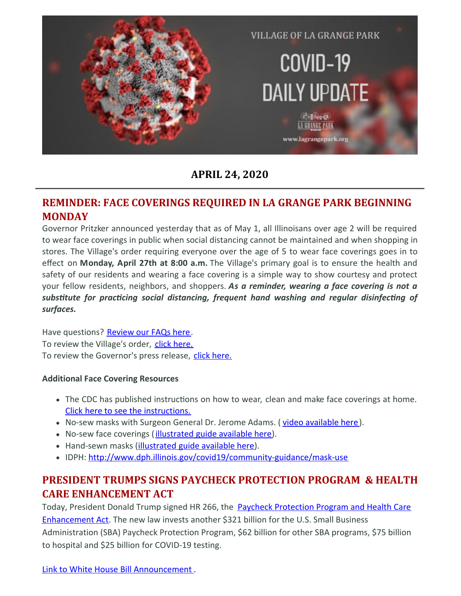

**APRIL 24, 2020**

#### **REMINDER: FACE COVERINGS REQUIRED IN LA GRANGE PARK BEGINNING MONDAY**

Governor Pritzker announced yesterday that as of May 1, all Illinoisans over age 2 will be required to wear face coverings in public when social distancing cannot be maintained and when shopping in stores. The Village's order requiring everyone over the age of 5 to wear face coverings goes in to effect on **Monday, April 27th at 8:00 a.m.** The Village's primary goal is to ensure the health and safety of our residents and wearing a face covering is a simple way to show courtesy and protect your fellow residents, neighbors, and shoppers. *As a reminder, wearing a face covering is not a substute for praccing social distancing, frequent hand washing and regular disinfecng of surfaces.*

Have questions? [Review](https://files.constantcontact.com/fac2adf0101/51d008fb-9ded-4c22-b7d3-3424293ec473.pdf) our FAQs here. To review the Village's order, click [here.](https://files.constantcontact.com/fac2adf0101/18c65e4d-e6d5-434c-ab0c-6beea88251d0.pdf) To review the Governor's press release, click [here.](https://files.constantcontact.com/fac2adf0101/68883b84-af05-4aff-be5f-3a6d1d0a7c93.pdf)

#### **Additional Face Covering Resources**

- The CDC has published instructions on how to wear, clean and make face coverings at home. Click here to see the [instructions.](https://www.cdc.gov/coronavirus/2019-ncov/downloads/DIY-cloth-face-covering-instructions.pdf)
- No-sew masks with Surgeon General Dr. Jerome Adams. ( video [available](https://www.youtube.com/watch?v=tPx1yqvJgf4) here).
- No-sew face coverings (*[illustrated](https://www.cnn.com/2020/04/04/health/how-to-make-your-own-mask-wellness-trnd/index.html) guide available here*).
- Hand-sewn masks [\(illustrated](https://www.usatoday.com/in-depth/news/2020/04/04/coronavirus-face-mask-tips-how-make-fabric-instructions/2945209001/) guide available here).
- IDPH: <http://www.dph.illinois.gov/covid19/community-guidance/mask-use>

## **PRESIDENT TRUMPS SIGNS PAYCHECK PROTECTION PROGRAM & HEALTH CARE ENHANCEMENT ACT**

Today, President Donald Trump signed HR 266, the Paycheck Protection Program and Health Care [Enhancement](https://www.congress.gov/116/bills/hr266/BILLS-116hr266enr.pdf) Act. The new law invests another \$321 billion for the U.S. Small Business Administration (SBA) Paycheck Protection Program, \$62 billion for other SBA programs, \$75 billion to hospital and \$25 billion for COVID-19 testing.